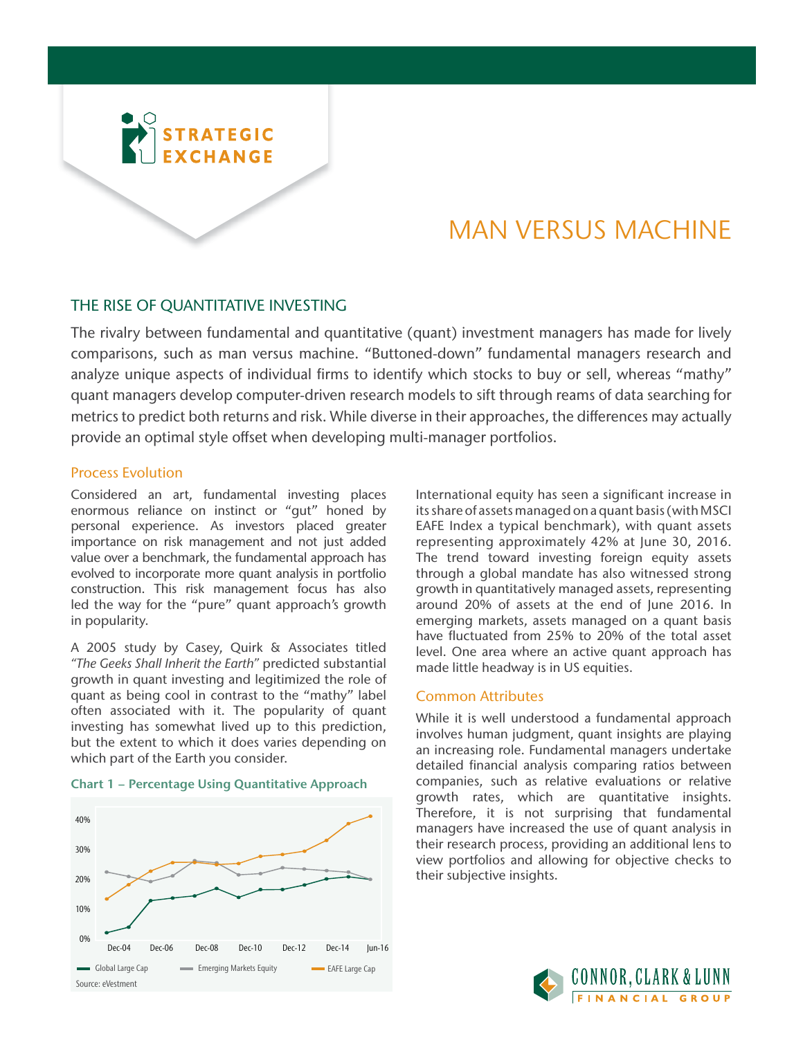

# MAN VERSUS MACHINE

# THE RISE OF QUANTITATIVE INVESTING

The rivalry between fundamental and quantitative (quant) investment managers has made for lively comparisons, such as man versus machine. "Buttoned-down" fundamental managers research and analyze unique aspects of individual firms to identify which stocks to buy or sell, whereas "mathy" quant managers develop computer-driven research models to sift through reams of data searching for metrics to predict both returns and risk. While diverse in their approaches, the differences may actually provide an optimal style offset when developing multi-manager portfolios.

## Process Evolution

Considered an art, fundamental investing places enormous reliance on instinct or "gut" honed by personal experience. As investors placed greater importance on risk management and not just added value over a benchmark, the fundamental approach has evolved to incorporate more quant analysis in portfolio construction. This risk management focus has also led the way for the "pure" quant approach's growth in popularity.

A 2005 study by Casey, Quirk & Associates titled *"The Geeks Shall Inherit the Earth"* predicted substantial growth in quant investing and legitimized the role of quant as being cool in contrast to the "mathy" label often associated with it. The popularity of quant investing has somewhat lived up to this prediction, but the extent to which it does varies depending on which part of the Earth you consider.





International equity has seen a significant increase in its share of assets managed on a quant basis (with MSCI EAFE Index a typical benchmark), with quant assets representing approximately 42% at June 30, 2016. The trend toward investing foreign equity assets through a global mandate has also witnessed strong growth in quantitatively managed assets, representing around 20% of assets at the end of June 2016. In emerging markets, assets managed on a quant basis have fluctuated from 25% to 20% of the total asset level. One area where an active quant approach has made little headway is in US equities.

#### Common Attributes

While it is well understood a fundamental approach involves human judgment, quant insights are playing an increasing role. Fundamental managers undertake detailed financial analysis comparing ratios between companies, such as relative evaluations or relative growth rates, which are quantitative insights. Therefore, it is not surprising that fundamental managers have increased the use of quant analysis in their research process, providing an additional lens to view portfolios and allowing for objective checks to their subjective insights.

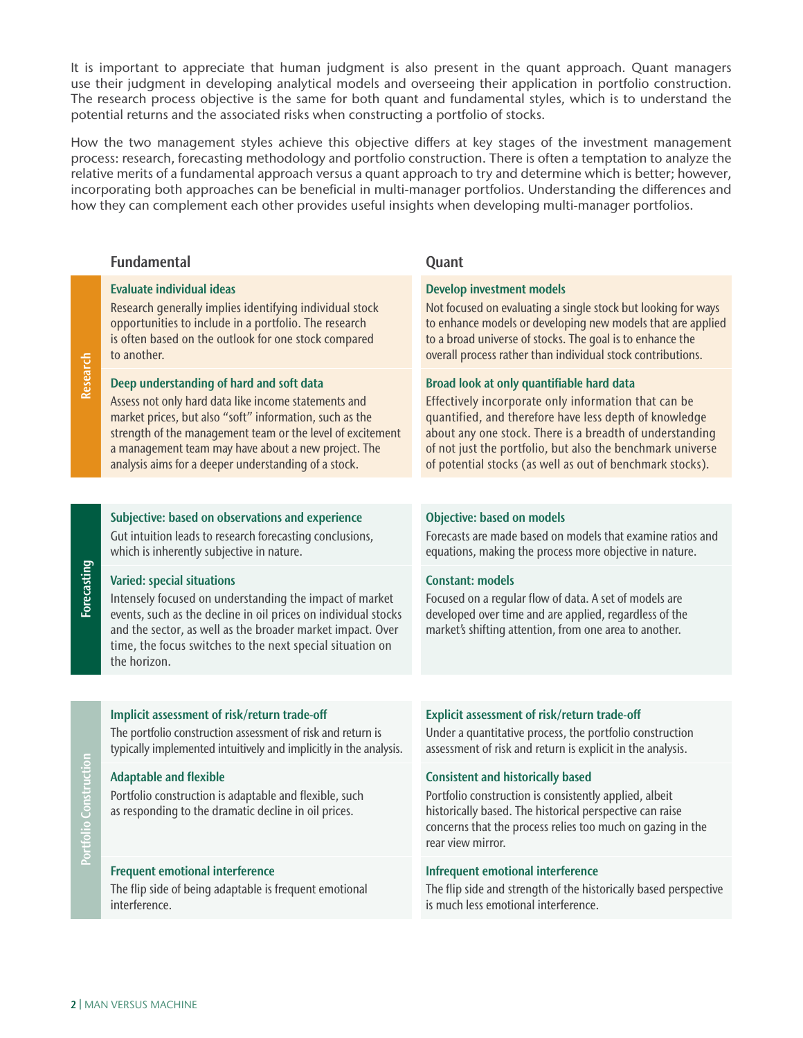It is important to appreciate that human judgment is also present in the quant approach. Quant managers use their judgment in developing analytical models and overseeing their application in portfolio construction. The research process objective is the same for both quant and fundamental styles, which is to understand the potential returns and the associated risks when constructing a portfolio of stocks.

How the two management styles achieve this objective differs at key stages of the investment management process: research, forecasting methodology and portfolio construction. There is often a temptation to analyze the relative merits of a fundamental approach versus a quant approach to try and determine which is better; however, incorporating both approaches can be beneficial in multi-manager portfolios. Understanding the differences and how they can complement each other provides useful insights when developing multi-manager portfolios.

|                    | <b>Fundamental</b>                                                                                                                                                                                                                                                                                                                       | Quant                                                                                                                                                                                                                                                                                                                                              |
|--------------------|------------------------------------------------------------------------------------------------------------------------------------------------------------------------------------------------------------------------------------------------------------------------------------------------------------------------------------------|----------------------------------------------------------------------------------------------------------------------------------------------------------------------------------------------------------------------------------------------------------------------------------------------------------------------------------------------------|
| Research           | <b>Evaluate individual ideas</b><br>Research generally implies identifying individual stock<br>opportunities to include in a portfolio. The research<br>is often based on the outlook for one stock compared<br>to another.                                                                                                              | <b>Develop investment models</b><br>Not focused on evaluating a single stock but looking for ways<br>to enhance models or developing new models that are applied<br>to a broad universe of stocks. The goal is to enhance the<br>overall process rather than individual stock contributions.                                                       |
|                    | Deep understanding of hard and soft data<br>Assess not only hard data like income statements and<br>market prices, but also "soft" information, such as the<br>strength of the management team or the level of excitement<br>a management team may have about a new project. The<br>analysis aims for a deeper understanding of a stock. | Broad look at only quantifiable hard data<br>Effectively incorporate only information that can be<br>quantified, and therefore have less depth of knowledge<br>about any one stock. There is a breadth of understanding<br>of not just the portfolio, but also the benchmark universe<br>of potential stocks (as well as out of benchmark stocks). |
|                    |                                                                                                                                                                                                                                                                                                                                          |                                                                                                                                                                                                                                                                                                                                                    |
| <b>Forecasting</b> | Subjective: based on observations and experience<br>Gut intuition leads to research forecasting conclusions,<br>which is inherently subjective in nature.                                                                                                                                                                                | <b>Objective: based on models</b><br>Forecasts are made based on models that examine ratios and<br>equations, making the process more objective in nature.                                                                                                                                                                                         |
|                    | <b>Varied: special situations</b><br>Intensely focused on understanding the impact of market<br>events, such as the decline in oil prices on individual stocks<br>and the sector, as well as the broader market impact. Over<br>time, the focus switches to the next special situation on<br>the horizon.                                | <b>Constant: models</b><br>Focused on a regular flow of data. A set of models are<br>developed over time and are applied, regardless of the<br>market's shifting attention, from one area to another.                                                                                                                                              |
|                    |                                                                                                                                                                                                                                                                                                                                          |                                                                                                                                                                                                                                                                                                                                                    |
| Construction       | Implicit assessment of risk/return trade-off<br>The portfolio construction assessment of risk and return is<br>typically implemented intuitively and implicitly in the analysis.                                                                                                                                                         | Explicit assessment of risk/return trade-off<br>Under a quantitative process, the portfolio construction<br>assessment of risk and return is explicit in the analysis.                                                                                                                                                                             |
|                    | <b>Adaptable and flexible</b><br>Portfolio construction is adaptable and flexible, such<br>as responding to the dramatic decline in oil prices.                                                                                                                                                                                          | <b>Consistent and historically based</b><br>Portfolio construction is consistently applied, albeit<br>historically based. The historical perspective can raise<br>concerns that the process relies too much on gazing in the<br>rear view mirror.                                                                                                  |
|                    | <b>Frequent emotional interference</b><br>The flip side of being adaptable is frequent emotional<br>interference.                                                                                                                                                                                                                        | Infrequent emotional interference<br>The flip side and strength of the historically based perspective<br>is much less emotional interference.                                                                                                                                                                                                      |

2 | MAN VERSUS MACHINE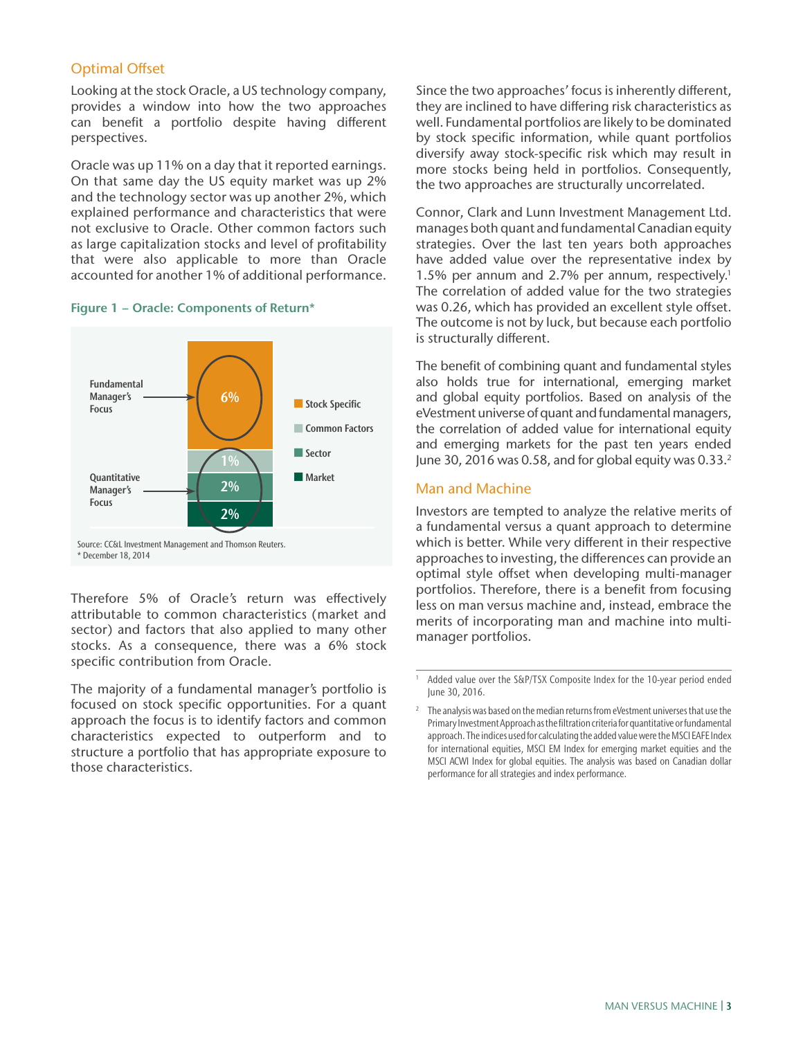# **Optimal Offset**

Looking at the stock Oracle, a US technology company, provides a window into how the two approaches can benefit a portfolio despite having different perspectives.

Oracle was up 11% on a day that it reported earnings. On that same day the US equity market was up 2% and the technology sector was up another 2%, which explained performance and characteristics that were not exclusive to Oracle. Other common factors such as large capitalization stocks and level of profitability that were also applicable to more than Oracle accounted for another 1% of additional performance.

### Figure 1 − Oracle: Components of Return\*



Source: CC&L Investment Management and Thomson Reuters. \* December 18, 2014

Therefore 5% of Oracle's return was effectively attributable to common characteristics (market and sector) and factors that also applied to many other stocks. As a consequence, there was a 6% stock specific contribution from Oracle.

The majority of a fundamental manager's portfolio is focused on stock specific opportunities. For a quant approach the focus is to identify factors and common characteristics expected to outperform and to structure a portfolio that has appropriate exposure to those characteristics.

Since the two approaches' focus is inherently different, they are inclined to have differing risk characteristics as well. Fundamental portfolios are likely to be dominated by stock specific information, while quant portfolios diversify away stock-specific risk which may result in more stocks being held in portfolios. Consequently, the two approaches are structurally uncorrelated.

Connor, Clark and Lunn Investment Management Ltd. manages both quant and fundamental Canadian equity strategies. Over the last ten years both approaches have added value over the representative index by 1.5% per annum and 2.7% per annum, respectively.<sup>1</sup> The correlation of added value for the two strategies was 0.26, which has provided an excellent style offset. The outcome is not by luck, but because each portfolio is structurally different.

The benefit of combining quant and fundamental styles also holds true for international, emerging market and global equity portfolios. Based on analysis of the eVestment universe of quant and fundamental managers, the correlation of added value for international equity and emerging markets for the past ten years ended June 30, 2016 was 0.58, and for global equity was 0.33.<sup>2</sup>

## Man and Machine

Investors are tempted to analyze the relative merits of a fundamental versus a quant approach to determine which is better. While very different in their respective approaches to investing, the differences can provide an optimal style offset when developing multi-manager portfolios. Therefore, there is a benefit from focusing less on man versus machine and, instead, embrace the merits of incorporating man and machine into multimanager portfolios.

Added value over the S&P/TSX Composite Index for the 10-year period ended June 30, 2016.

<sup>2</sup> The analysis was based on the median returns from eVestment universes that use the Primary Investment Approach as the filtration criteria for quantitative or fundamental approach. The indices used for calculating the added value were the MSCI EAFE Index for international equities, MSCI EM Index for emerging market equities and the MSCI ACWI Index for global equities. The analysis was based on Canadian dollar performance for all strategies and index performance.